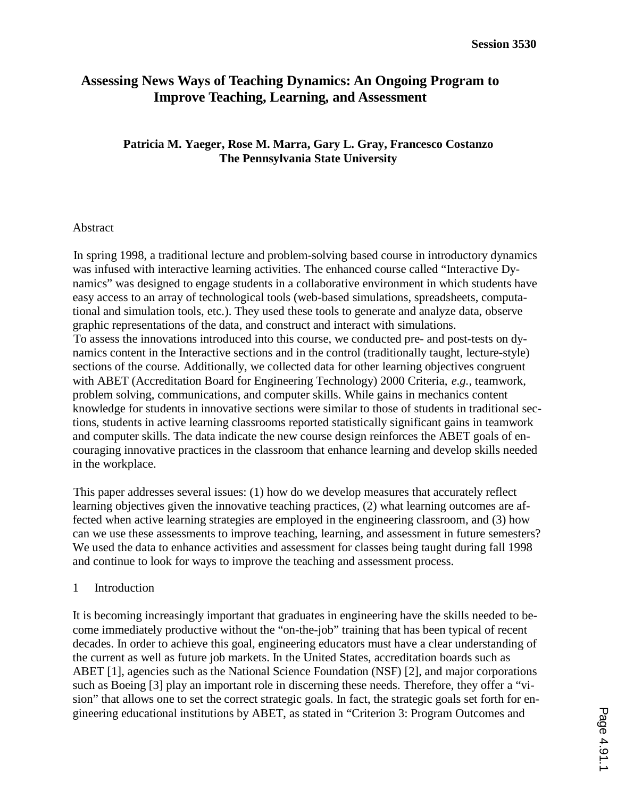# **Assessing News Ways of Teaching Dynamics: An Ongoing Program to Improve Teaching, Learning, and Assessment**

## **Patricia M. Yaeger, Rose M. Marra, Gary L. Gray, Francesco Costanzo The Pennsylvania State University**

#### Abstract

In spring 1998, a traditional lecture and problem-solving based course in introductory dynamics was infused with interactive learning activities. The enhanced course called "Interactive Dynamics" was designed to engage students in a collaborative environment in which students have easy access to an array of technological tools (web-based simulations, spreadsheets, computational and simulation tools, etc.). They used these tools to generate and analyze data, observe graphic representations of the data, and construct and interact with simulations. To assess the innovations introduced into this course, we conducted pre- and post-tests on dynamics content in the Interactive sections and in the control (traditionally taught, lecture-style) sections of the course. Additionally, we collected data for other learning objectives congruent with ABET (Accreditation Board for Engineering Technology) 2000 Criteria, *e.g.*, teamwork, problem solving, communications, and computer skills. While gains in mechanics content knowledge for students in innovative sections were similar to those of students in traditional sections, students in active learning classrooms reported statistically significant gains in teamwork and computer skills. The data indicate the new course design reinforces the ABET goals of encouraging innovative practices in the classroom that enhance learning and develop skills needed in the workplace.

This paper addresses several issues: (1) how do we develop measures that accurately reflect learning objectives given the innovative teaching practices, (2) what learning outcomes are affected when active learning strategies are employed in the engineering classroom, and (3) how can we use these assessments to improve teaching, learning, and assessment in future semesters? We used the data to enhance activities and assessment for classes being taught during fall 1998 and continue to look for ways to improve the teaching and assessment process.

#### 1 Introduction

It is becoming increasingly important that graduates in engineering have the skills needed to become immediately productive without the "on-the-job" training that has been typical of recent decades. In order to achieve this goal, engineering educators must have a clear understanding of the current as well as future job markets. In the United States, accreditation boards such as ABET [1], agencies such as the National Science Foundation (NSF) [2], and major corporations such as Boeing [3] play an important role in discerning these needs. Therefore, they offer a "vision" that allows one to set the correct strategic goals. In fact, the strategic goals set forth for engineering educational institutions by ABET, as stated in "Criterion 3: Program Outcomes and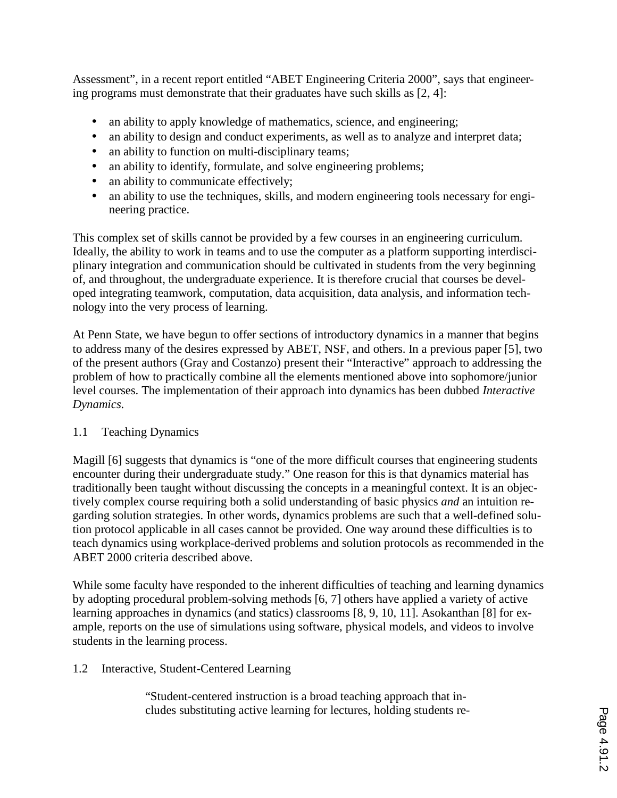Assessment", in a recent report entitled "ABET Engineering Criteria 2000", says that engineering programs must demonstrate that their graduates have such skills as [2, 4]:

- an ability to apply knowledge of mathematics, science, and engineering;
- an ability to design and conduct experiments, as well as to analyze and interpret data;
- an ability to function on multi-disciplinary teams;
- an ability to identify, formulate, and solve engineering problems;
- an ability to communicate effectively;
- an ability to use the techniques, skills, and modern engineering tools necessary for engineering practice.

This complex set of skills cannot be provided by a few courses in an engineering curriculum. Ideally, the ability to work in teams and to use the computer as a platform supporting interdisciplinary integration and communication should be cultivated in students from the very beginning of, and throughout, the undergraduate experience. It is therefore crucial that courses be developed integrating teamwork, computation, data acquisition, data analysis, and information technology into the very process of learning.

At Penn State, we have begun to offer sections of introductory dynamics in a manner that begins to address many of the desires expressed by ABET, NSF, and others. In a previous paper [5], two of the present authors (Gray and Costanzo) present their "Interactive" approach to addressing the problem of how to practically combine all the elements mentioned above into sophomore/junior level courses. The implementation of their approach into dynamics has been dubbed *Interactive Dynamics*.

## 1.1 Teaching Dynamics

Magill [6] suggests that dynamics is "one of the more difficult courses that engineering students encounter during their undergraduate study." One reason for this is that dynamics material has traditionally been taught without discussing the concepts in a meaningful context. It is an objectively complex course requiring both a solid understanding of basic physics *and* an intuition regarding solution strategies. In other words, dynamics problems are such that a well-defined solution protocol applicable in all cases cannot be provided. One way around these difficulties is to teach dynamics using workplace-derived problems and solution protocols as recommended in the ABET 2000 criteria described above.

While some faculty have responded to the inherent difficulties of teaching and learning dynamics by adopting procedural problem-solving methods [6, 7] others have applied a variety of active learning approaches in dynamics (and statics) classrooms [8, 9, 10, 11]. Asokanthan [8] for example, reports on the use of simulations using software, physical models, and videos to involve students in the learning process.

## 1.2 Interactive, Student-Centered Learning

"Student-centered instruction is a broad teaching approach that includes substituting active learning for lectures, holding students re-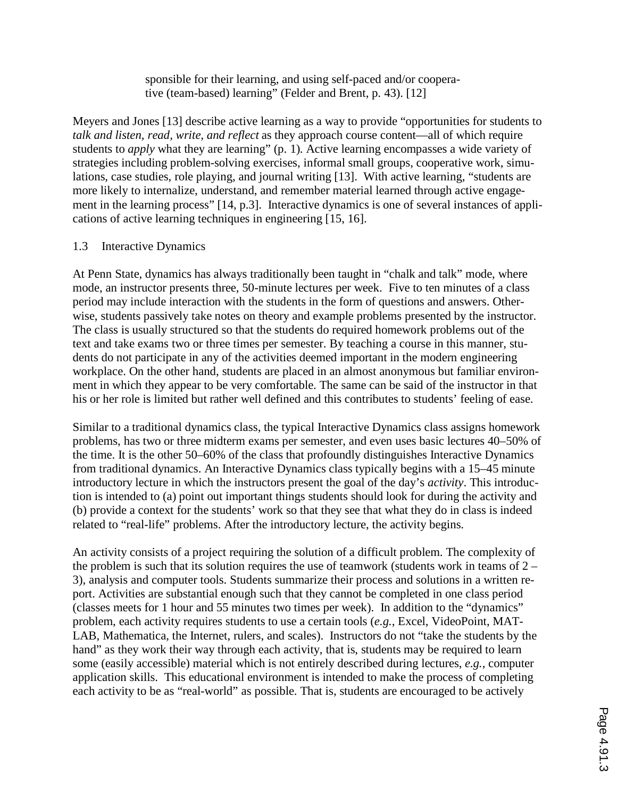sponsible for their learning, and using self-paced and/or cooperative (team-based) learning" (Felder and Brent, p. 43). [12]

Meyers and Jones [13] describe active learning as a way to provide "opportunities for students to *talk and listen, read, write, and reflect* as they approach course content—all of which require students to *apply* what they are learning" (p. 1). Active learning encompasses a wide variety of strategies including problem-solving exercises, informal small groups, cooperative work, simulations, case studies, role playing, and journal writing [13]. With active learning, "students are more likely to internalize, understand, and remember material learned through active engagement in the learning process" [14, p.3]. Interactive dynamics is one of several instances of applications of active learning techniques in engineering [15, 16].

## 1.3 Interactive Dynamics

At Penn State, dynamics has always traditionally been taught in "chalk and talk" mode, where mode, an instructor presents three, 50-minute lectures per week. Five to ten minutes of a class period may include interaction with the students in the form of questions and answers. Otherwise, students passively take notes on theory and example problems presented by the instructor. The class is usually structured so that the students do required homework problems out of the text and take exams two or three times per semester. By teaching a course in this manner, students do not participate in any of the activities deemed important in the modern engineering workplace. On the other hand, students are placed in an almost anonymous but familiar environment in which they appear to be very comfortable. The same can be said of the instructor in that his or her role is limited but rather well defined and this contributes to students' feeling of ease.

Similar to a traditional dynamics class, the typical Interactive Dynamics class assigns homework problems, has two or three midterm exams per semester, and even uses basic lectures 40–50% of the time. It is the other 50–60% of the class that profoundly distinguishes Interactive Dynamics from traditional dynamics. An Interactive Dynamics class typically begins with a 15–45 minute introductory lecture in which the instructors present the goal of the day's *activity*. This introduction is intended to (a) point out important things students should look for during the activity and (b) provide a context for the students' work so that they see that what they do in class is indeed related to "real-life" problems. After the introductory lecture, the activity begins.

An activity consists of a project requiring the solution of a difficult problem. The complexity of the problem is such that its solution requires the use of teamwork (students work in teams of  $2 -$ 3), analysis and computer tools. Students summarize their process and solutions in a written report. Activities are substantial enough such that they cannot be completed in one class period (classes meets for 1 hour and 55 minutes two times per week). In addition to the "dynamics" problem, each activity requires students to use a certain tools (*e.g.*, Excel, VideoPoint, MAT-LAB, Mathematica, the Internet, rulers, and scales). Instructors do not "take the students by the hand" as they work their way through each activity, that is, students may be required to learn some (easily accessible) material which is not entirely described during lectures, *e.g.*, computer application skills. This educational environment is intended to make the process of completing each activity to be as "real-world" as possible. That is, students are encouraged to be actively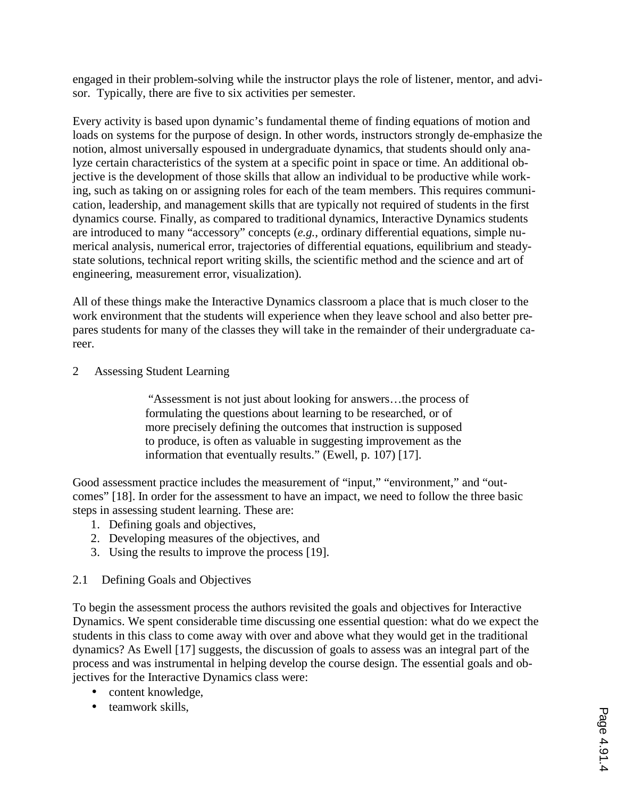engaged in their problem-solving while the instructor plays the role of listener, mentor, and advisor. Typically, there are five to six activities per semester.

Every activity is based upon dynamic's fundamental theme of finding equations of motion and loads on systems for the purpose of design. In other words, instructors strongly de-emphasize the notion, almost universally espoused in undergraduate dynamics, that students should only analyze certain characteristics of the system at a specific point in space or time. An additional objective is the development of those skills that allow an individual to be productive while working, such as taking on or assigning roles for each of the team members. This requires communication, leadership, and management skills that are typically not required of students in the first dynamics course. Finally, as compared to traditional dynamics, Interactive Dynamics students are introduced to many "accessory" concepts (*e.g.*, ordinary differential equations, simple numerical analysis, numerical error, trajectories of differential equations, equilibrium and steadystate solutions, technical report writing skills, the scientific method and the science and art of engineering, measurement error, visualization).

All of these things make the Interactive Dynamics classroom a place that is much closer to the work environment that the students will experience when they leave school and also better prepares students for many of the classes they will take in the remainder of their undergraduate career.

2 Assessing Student Learning

 "Assessment is not just about looking for answers…the process of formulating the questions about learning to be researched, or of more precisely defining the outcomes that instruction is supposed to produce, is often as valuable in suggesting improvement as the information that eventually results." (Ewell, p. 107) [17].

Good assessment practice includes the measurement of "input," "environment," and "outcomes" [18]. In order for the assessment to have an impact, we need to follow the three basic steps in assessing student learning. These are:

- 1. Defining goals and objectives,
- 2. Developing measures of the objectives, and
- 3. Using the results to improve the process [19].
- 2.1 Defining Goals and Objectives

To begin the assessment process the authors revisited the goals and objectives for Interactive Dynamics. We spent considerable time discussing one essential question: what do we expect the students in this class to come away with over and above what they would get in the traditional dynamics? As Ewell [17] suggests, the discussion of goals to assess was an integral part of the process and was instrumental in helping develop the course design. The essential goals and objectives for the Interactive Dynamics class were:

- content knowledge,
- teamwork skills.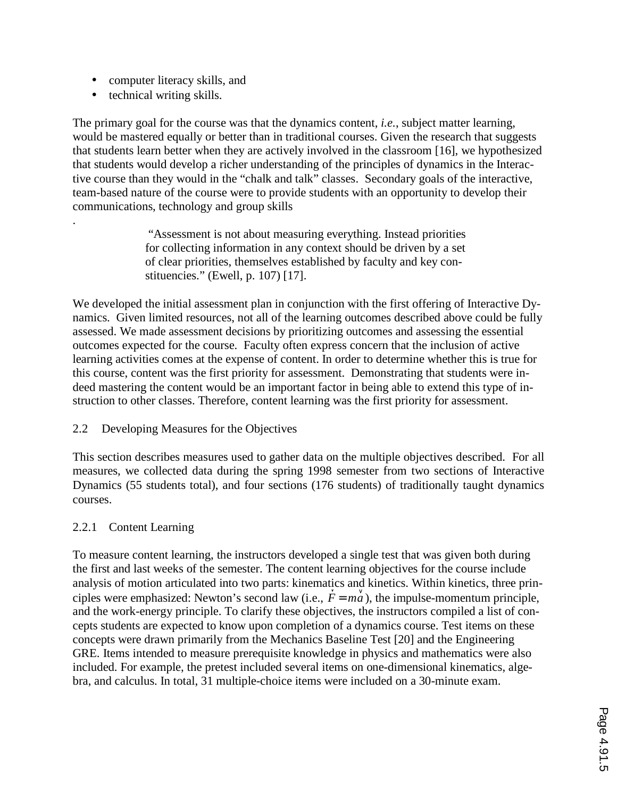- computer literacy skills, and
- technical writing skills.

.

The primary goal for the course was that the dynamics content, *i.e.*, subject matter learning, would be mastered equally or better than in traditional courses. Given the research that suggests that students learn better when they are actively involved in the classroom [16], we hypothesized that students would develop a richer understanding of the principles of dynamics in the Interactive course than they would in the "chalk and talk" classes. Secondary goals of the interactive, team-based nature of the course were to provide students with an opportunity to develop their communications, technology and group skills

> "Assessment is not about measuring everything. Instead priorities for collecting information in any context should be driven by a set of clear priorities, themselves established by faculty and key constituencies." (Ewell, p. 107) [17].

We developed the initial assessment plan in conjunction with the first offering of Interactive Dynamics. Given limited resources, not all of the learning outcomes described above could be fully assessed. We made assessment decisions by prioritizing outcomes and assessing the essential outcomes expected for the course. Faculty often express concern that the inclusion of active learning activities comes at the expense of content. In order to determine whether this is true for this course, content was the first priority for assessment. Demonstrating that students were indeed mastering the content would be an important factor in being able to extend this type of instruction to other classes. Therefore, content learning was the first priority for assessment.

## 2.2 Developing Measures for the Objectives

This section describes measures used to gather data on the multiple objectives described. For all measures, we collected data during the spring 1998 semester from two sections of Interactive Dynamics (55 students total), and four sections (176 students) of traditionally taught dynamics courses.

## 2.2.1 Content Learning

To measure content learning, the instructors developed a single test that was given both during the first and last weeks of the semester. The content learning objectives for the course include analysis of motion articulated into two parts: kinematics and kinetics. Within kinetics, three principles were emphasized: Newton's second law (i.e.,  $\frac{1}{\sqrt{2}}$  $\overrightarrow{F} = m\overrightarrow{a}$ , the impulse-momentum principle, and the work-energy principle. To clarify these objectives, the instructors compiled a list of concepts students are expected to know upon completion of a dynamics course. Test items on these concepts were drawn primarily from the Mechanics Baseline Test [20] and the Engineering GRE. Items intended to measure prerequisite knowledge in physics and mathematics were also included. For example, the pretest included several items on one-dimensional kinematics, algebra, and calculus. In total, 31 multiple-choice items were included on a 30-minute exam.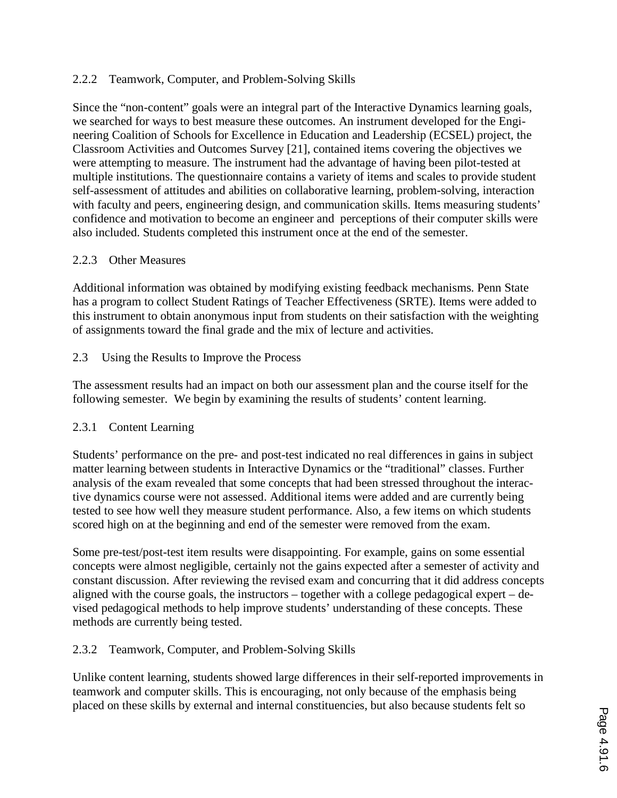## 2.2.2 Teamwork, Computer, and Problem-Solving Skills

Since the "non-content" goals were an integral part of the Interactive Dynamics learning goals, we searched for ways to best measure these outcomes. An instrument developed for the Engineering Coalition of Schools for Excellence in Education and Leadership (ECSEL) project, the Classroom Activities and Outcomes Survey [21], contained items covering the objectives we were attempting to measure. The instrument had the advantage of having been pilot-tested at multiple institutions. The questionnaire contains a variety of items and scales to provide student self-assessment of attitudes and abilities on collaborative learning, problem-solving, interaction with faculty and peers, engineering design, and communication skills. Items measuring students' confidence and motivation to become an engineer and perceptions of their computer skills were also included. Students completed this instrument once at the end of the semester.

## 2.2.3 Other Measures

Additional information was obtained by modifying existing feedback mechanisms. Penn State has a program to collect Student Ratings of Teacher Effectiveness (SRTE). Items were added to this instrument to obtain anonymous input from students on their satisfaction with the weighting of assignments toward the final grade and the mix of lecture and activities.

## 2.3 Using the Results to Improve the Process

The assessment results had an impact on both our assessment plan and the course itself for the following semester. We begin by examining the results of students' content learning.

## 2.3.1 Content Learning

Students' performance on the pre- and post-test indicated no real differences in gains in subject matter learning between students in Interactive Dynamics or the "traditional" classes. Further analysis of the exam revealed that some concepts that had been stressed throughout the interactive dynamics course were not assessed. Additional items were added and are currently being tested to see how well they measure student performance. Also, a few items on which students scored high on at the beginning and end of the semester were removed from the exam.

Some pre-test/post-test item results were disappointing. For example, gains on some essential concepts were almost negligible, certainly not the gains expected after a semester of activity and constant discussion. After reviewing the revised exam and concurring that it did address concepts aligned with the course goals, the instructors – together with a college pedagogical expert – devised pedagogical methods to help improve students' understanding of these concepts. These methods are currently being tested.

## 2.3.2 Teamwork, Computer, and Problem-Solving Skills

Unlike content learning, students showed large differences in their self-reported improvements in teamwork and computer skills. This is encouraging, not only because of the emphasis being placed on these skills by external and internal constituencies, but also because students felt so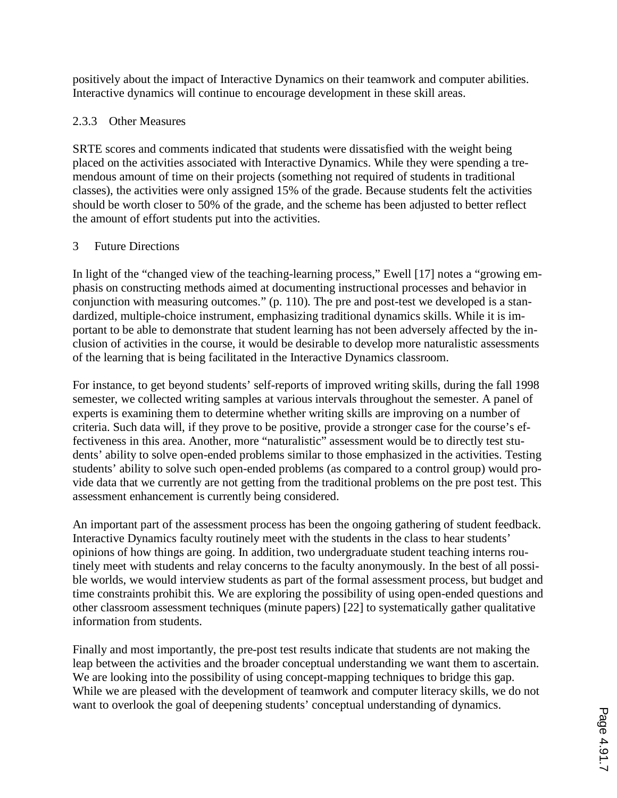positively about the impact of Interactive Dynamics on their teamwork and computer abilities. Interactive dynamics will continue to encourage development in these skill areas.

# 2.3.3 Other Measures

SRTE scores and comments indicated that students were dissatisfied with the weight being placed on the activities associated with Interactive Dynamics. While they were spending a tremendous amount of time on their projects (something not required of students in traditional classes), the activities were only assigned 15% of the grade. Because students felt the activities should be worth closer to 50% of the grade, and the scheme has been adjusted to better reflect the amount of effort students put into the activities.

## 3 Future Directions

In light of the "changed view of the teaching-learning process," Ewell [17] notes a "growing emphasis on constructing methods aimed at documenting instructional processes and behavior in conjunction with measuring outcomes." (p. 110). The pre and post-test we developed is a standardized, multiple-choice instrument, emphasizing traditional dynamics skills. While it is important to be able to demonstrate that student learning has not been adversely affected by the inclusion of activities in the course, it would be desirable to develop more naturalistic assessments of the learning that is being facilitated in the Interactive Dynamics classroom.

For instance, to get beyond students' self-reports of improved writing skills, during the fall 1998 semester, we collected writing samples at various intervals throughout the semester. A panel of experts is examining them to determine whether writing skills are improving on a number of criteria. Such data will, if they prove to be positive, provide a stronger case for the course's effectiveness in this area. Another, more "naturalistic" assessment would be to directly test students' ability to solve open-ended problems similar to those emphasized in the activities. Testing students' ability to solve such open-ended problems (as compared to a control group) would provide data that we currently are not getting from the traditional problems on the pre post test. This assessment enhancement is currently being considered.

An important part of the assessment process has been the ongoing gathering of student feedback. Interactive Dynamics faculty routinely meet with the students in the class to hear students' opinions of how things are going. In addition, two undergraduate student teaching interns routinely meet with students and relay concerns to the faculty anonymously. In the best of all possible worlds, we would interview students as part of the formal assessment process, but budget and time constraints prohibit this. We are exploring the possibility of using open-ended questions and other classroom assessment techniques (minute papers) [22] to systematically gather qualitative information from students.

Finally and most importantly, the pre-post test results indicate that students are not making the leap between the activities and the broader conceptual understanding we want them to ascertain. We are looking into the possibility of using concept-mapping techniques to bridge this gap. While we are pleased with the development of teamwork and computer literacy skills, we do not want to overlook the goal of deepening students' conceptual understanding of dynamics.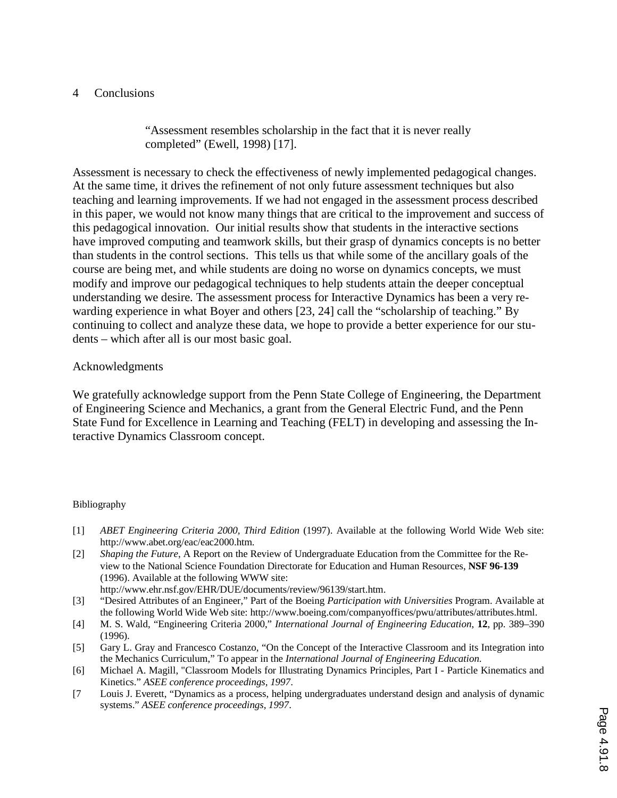## 4 Conclusions

"Assessment resembles scholarship in the fact that it is never really completed" (Ewell, 1998) [17].

Assessment is necessary to check the effectiveness of newly implemented pedagogical changes. At the same time, it drives the refinement of not only future assessment techniques but also teaching and learning improvements. If we had not engaged in the assessment process described in this paper, we would not know many things that are critical to the improvement and success of this pedagogical innovation. Our initial results show that students in the interactive sections have improved computing and teamwork skills, but their grasp of dynamics concepts is no better than students in the control sections. This tells us that while some of the ancillary goals of the course are being met, and while students are doing no worse on dynamics concepts, we must modify and improve our pedagogical techniques to help students attain the deeper conceptual understanding we desire. The assessment process for Interactive Dynamics has been a very rewarding experience in what Boyer and others [23, 24] call the "scholarship of teaching." By continuing to collect and analyze these data, we hope to provide a better experience for our students – which after all is our most basic goal.

## Acknowledgments

We gratefully acknowledge support from the Penn State College of Engineering, the Department of Engineering Science and Mechanics, a grant from the General Electric Fund, and the Penn State Fund for Excellence in Learning and Teaching (FELT) in developing and assessing the Interactive Dynamics Classroom concept.

#### Bibliography

- [1] *ABET Engineering Criteria 2000, Third Edition* (1997). Available at the following World Wide Web site: http://www.abet.org/eac/eac2000.htm*.*
- [2] *Shaping the Future*, A Report on the Review of Undergraduate Education from the Committee for the Review to the National Science Foundation Directorate for Education and Human Resources, **NSF 96-139** (1996). Available at the following WWW site: http://www.ehr.nsf.gov/EHR/DUE/documents/review/96139/start.htm.
- [3] "Desired Attributes of an Engineer," Part of the Boeing *Participation with Universities* Program. Available at the following World Wide Web site: http://www.boeing.com/companyoffices/pwu/attributes/attributes.html.
- [4] M. S. Wald, "Engineering Criteria 2000," *International Journal of Engineering Education*, **12**, pp. 389–390 (1996).
- [5] Gary L. Gray and Francesco Costanzo, "On the Concept of the Interactive Classroom and its Integration into the Mechanics Curriculum," To appear in the *International Journal of Engineering Education*.
- [6] Michael A. Magill, "Classroom Models for Illustrating Dynamics Principles, Part I Particle Kinematics and Kinetics." *ASEE conference proceedings, 1997*.
- [7 Louis J. Everett, "Dynamics as a process, helping undergraduates understand design and analysis of dynamic systems." *ASEE conference proceedings, 1997*.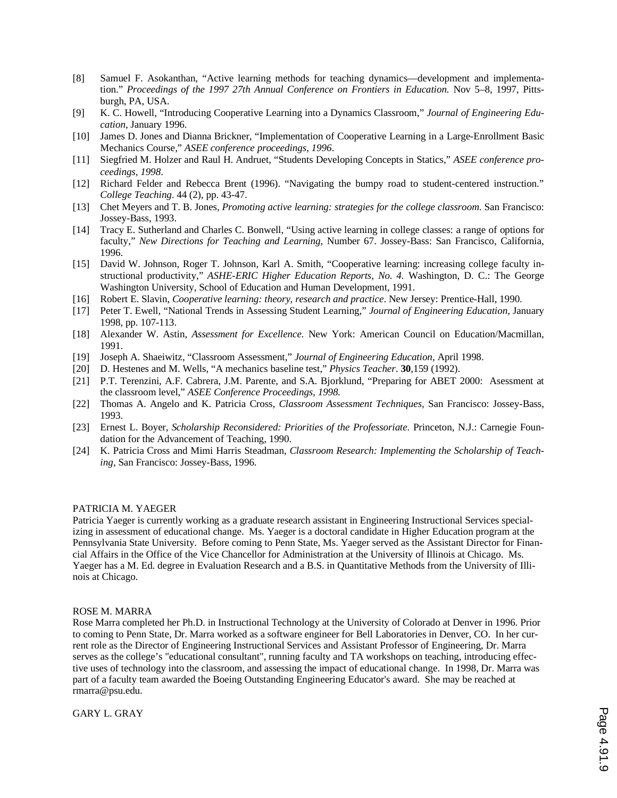- [8] Samuel F. Asokanthan, "Active learning methods for teaching dynamics—development and implementation." *Proceedings of the 1997 27th Annual Conference on Frontiers in Education.* Nov 5–8, 1997, Pittsburgh, PA, USA.
- [9] K. C. Howell, "Introducing Cooperative Learning into a Dynamics Classroom," *Journal of Engineering Education*, January 1996.
- [10] James D. Jones and Dianna Brickner, "Implementation of Cooperative Learning in a Large-Enrollment Basic Mechanics Course," *ASEE conference proceedings, 1996*.
- [11] Siegfried M. Holzer and Raul H. Andruet, "Students Developing Concepts in Statics," *ASEE conference proceedings, 1998*.
- [12] Richard Felder and Rebecca Brent (1996). "Navigating the bumpy road to student-centered instruction." *College Teaching*. 44 (2), pp. 43-47.
- [13] Chet Meyers and T. B. Jones, *Promoting active learning: strategies for the college classroom*. San Francisco: Jossey-Bass, 1993.
- [14] Tracy E. Sutherland and Charles C. Bonwell, "Using active learning in college classes: a range of options for faculty," *New Directions for Teaching and Learning*, Number 67. Jossey-Bass: San Francisco, California, 1996.
- [15] David W. Johnson, Roger T. Johnson, Karl A. Smith, "Cooperative learning: increasing college faculty instructional productivity," *ASHE-ERIC Higher Education Reports, No. 4.* Washington, D. C.: The George Washington University, School of Education and Human Development, 1991.
- [16] Robert E. Slavin, *Cooperative learning: theory, research and practice*. New Jersey: Prentice-Hall, 1990.
- [17] Peter T. Ewell, "National Trends in Assessing Student Learning," *Journal of Engineering Education*, January 1998, pp. 107-113.
- [18] Alexander W. Astin, *Assessment for Excellence.* New York: American Council on Education/Macmillan, 1991.
- [19] Joseph A. Shaeiwitz, "Classroom Assessment," *Journal of Engineering Education*, April 1998.
- [20] D. Hestenes and M. Wells, "A mechanics baseline test," *Physics Teacher*. **30**,159 (1992).
- [21] P.T. Terenzini, A.F. Cabrera, J.M. Parente, and S.A. Bjorklund, "Preparing for ABET 2000: Asessment at the classroom level," *ASEE Conference Proceedings, 1998.*
- [22] Thomas A. Angelo and K. Patricia Cross, *Classroom Assessment Techniques,* San Francisco: Jossey-Bass, 1993.
- [23] Ernest L. Boyer, *Scholarship Reconsidered: Priorities of the Professoriate.* Princeton, N.J.: Carnegie Foundation for the Advancement of Teaching, 1990.
- [24] K. Patricia Cross and Mimi Harris Steadman, *Classroom Research: Implementing the Scholarship of Teaching,* San Francisco: Jossey-Bass, 1996.

#### PATRICIA M. YAEGER

Patricia Yaeger is currently working as a graduate research assistant in Engineering Instructional Services specializing in assessment of educational change. Ms. Yaeger is a doctoral candidate in Higher Education program at the Pennsylvania State University. Before coming to Penn State, Ms. Yaeger served as the Assistant Director for Financial Affairs in the Office of the Vice Chancellor for Administration at the University of Illinois at Chicago. Ms. Yaeger has a M. Ed. degree in Evaluation Research and a B.S. in Quantitative Methods from the University of Illinois at Chicago.

#### ROSE M. MARRA

Rose Marra completed her Ph.D. in Instructional Technology at the University of Colorado at Denver in 1996. Prior to coming to Penn State, Dr. Marra worked as a software engineer for Bell Laboratories in Denver, CO. In her current role as the Director of Engineering Instructional Services and Assistant Professor of Engineering, Dr. Marra serves as the college's "educational consultant", running faculty and TA workshops on teaching, introducing effective uses of technology into the classroom, and assessing the impact of educational change. In 1998, Dr. Marra was part of a faculty team awarded the Boeing Outstanding Engineering Educator's award. She may be reached at rmarra@psu.edu.

GARY L. GRAY